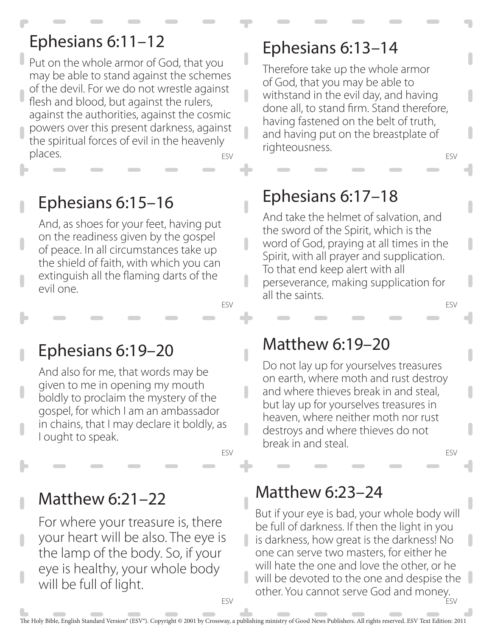## Ephesians 6:11–12

ESV Put on the whole armor of God, that you may be able to stand against the schemes of the devil. For we do not wrestle against flesh and blood, but against the rulers, against the authorities, against the cosmic powers over this present darkness, against the spiritual forces of evil in the heavenly places.

## Ephesians 6:15–16

And, as shoes for your feet, having put on the readiness given by the gospel of peace. In all circumstances take up the shield of faith, with which you can extinguish all the flaming darts of the evil one.

ESV

ESV

П

# Ephesians 6:19–20

And also for me, that words may be given to me in opening my mouth boldly to proclaim the mystery of the gospel, for which I am an ambassador in chains, that I may declare it boldly, as I ought to speak.

### Matthew 6:21–22

For where your treasure is, there your heart will be also. The eye is the lamp of the body. So, if your eye is healthy, your whole body will be full of light.

## Ephesians 6:13–14

ESV Therefore take up the whole armor of God, that you may be able to withstand in the evil day, and having done all, to stand firm. Stand therefore, having fastened on the belt of truth, and having put on the breastplate of righteousness.

## Ephesians 6:17–18

ESV And take the helmet of salvation, and the sword of the Spirit, which is the word of God, praying at all times in the Spirit, with all prayer and supplication. To that end keep alert with all perseverance, making supplication for all the saints.

### Matthew 6:19–20

Do not lay up for yourselves treasures on earth, where moth and rust destroy and where thieves break in and steal, but lay up for yourselves treasures in heaven, where neither moth nor rust destroys and where thieves do not break in and steal.

ESV

### Matthew 6:23–24

ESV But if your eye is bad, your whole body will be full of darkness. If then the light in you is darkness, how great is the darkness! No one can serve two masters, for either he will hate the one and love the other, or he will be devoted to the one and despise the other. You cannot serve God and money.

ESV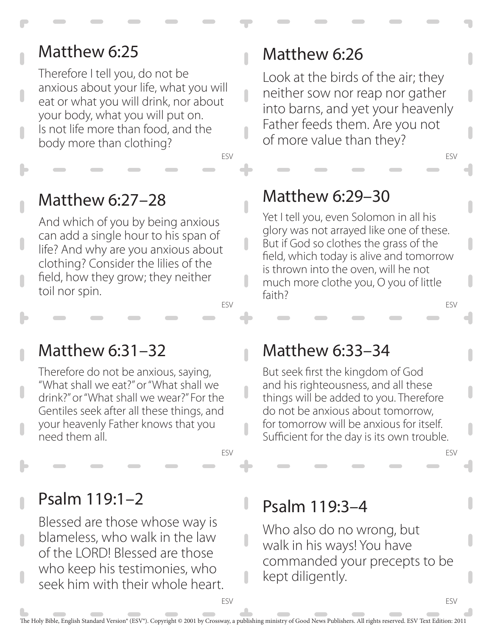### Matthew 6:25

Therefore I tell you, do not be anxious about your life, what you will eat or what you will drink, nor about your body, what you will put on. Is not life more than food, and the body more than clothing?

#### Matthew 6:27–28

And which of you by being anxious can add a single hour to his span of life? And why are you anxious about clothing? Consider the lilies of the field, how they grow; they neither toil nor spin.

#### Matthew 6:31–32

Therefore do not be anxious, saying, "What shall we eat?" or "What shall we drink?" or "What shall we wear?" For the Gentiles seek after all these things, and your heavenly Father knows that you need them all.

#### Psalm 119:1–2

Blessed are those whose way is blameless, who walk in the law of the LORD! Blessed are those who keep his testimonies, who seek him with their whole heart.

## Matthew 6:26

ESV

Ĥ

 $\overline{\phantom{a}}$ 

 $\overline{\phantom{a}}$ 

I

ESV

ESV

Look at the birds of the air; they neither sow nor reap nor gather into barns, and yet your heavenly Father feeds them. Are you not of more value than they?

## Matthew 6:29–30

ESV Yet I tell you, even Solomon in all his glory was not arrayed like one of these. But if God so clothes the grass of the field, which today is alive and tomorrow is thrown into the oven, will he not much more clothe you, O you of little faith?

#### Matthew 6:33–34

But seek first the kingdom of God and his righteousness, and all these things will be added to you. Therefore do not be anxious about tomorrow, for tomorrow will be anxious for itself. Sufficient for the day is its own trouble.

ESV

ESV

ESV

### Psalm 119:3–4

Who also do no wrong, but walk in his ways! You have commanded your precepts to be kept diligently.

ESV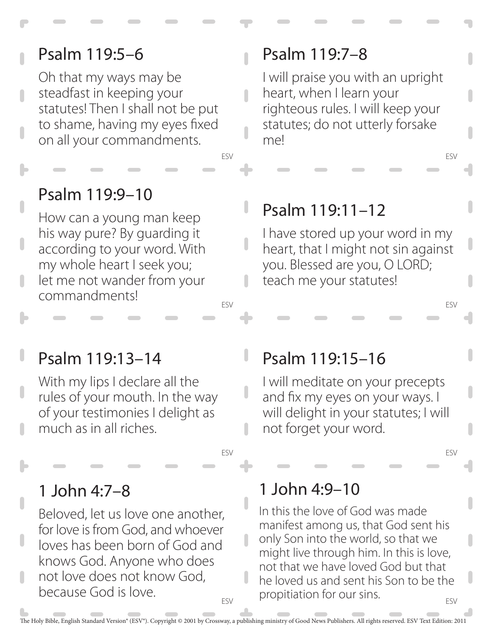## Psalm 119:5–6

Oh that my ways may be steadfast in keeping your statutes! Then I shall not be put to shame, having my eyes fixed on all your commandments.

### Psalm 119:9–10

How can a young man keep his way pure? By guarding it according to your word. With my whole heart I seek you; let me not wander from your

## Psalm 119:7–8

ESV

ESV

J

ESV

I will praise you with an upright heart, when I learn your righteous rules. I will keep your statutes; do not utterly forsake me!

ESV

ESV

ESV

### Psalm 119:11–12

I have stored up your word in my heart, that I might not sin against you. Blessed are you, O LORD; teach me your statutes!

#### Psalm 119:13–14

commandments!

With my lips I declare all the rules of your mouth. In the way of your testimonies I delight as much as in all riches.

## Psalm 119:15–16

I will meditate on your precepts and fix my eyes on your ways. I will delight in your statutes; I will not forget your word.

#### 1 John 4:7–8

ESV Beloved, let us love one another, for love is from God, and whoever loves has been born of God and knows God. Anyone who does not love does not know God, because God is love.

### 1 John 4:9–10

ESV In this the love of God was made manifest among us, that God sent his only Son into the world, so that we might live through him. In this is love, not that we have loved God but that he loved us and sent his Son to be the propitiation for our sins.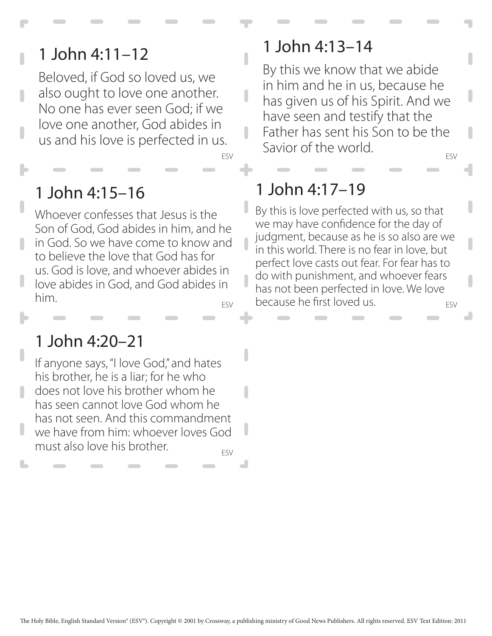## 1 John 4:11–12

Beloved, if God so loved us, we also ought to love one another. No one has ever seen God; if we love one another, God abides in us and his love is perfected in us.

#### 1 John 4:15–16

ESV Whoever confesses that Jesus is the Son of God, God abides in him, and he in God. So we have come to know and to believe the love that God has for us. God is love, and whoever abides in love abides in God, and God abides in him.

#### 1 John 4:20–21

ESV If anyone says, "I love God," and hates his brother, he is a liar; for he who does not love his brother whom he has seen cannot love God whom he has not seen. And this commandment we have from him: whoever loves God must also love his brother.

#### 1 John 4:13–14

ESV By this we know that we abide in him and he in us, because he has given us of his Spirit. And we have seen and testify that the Father has sent his Son to be the Savior of the world.

## 1 John 4:17–19

ESV

n

 $\overline{\phantom{a}}$ 

ESV By this is love perfected with us, so that we may have confidence for the day of judgment, because as he is so also are we in this world. There is no fear in love, but perfect love casts out fear. For fear has to do with punishment, and whoever fears has not been perfected in love. We love because he first loved us.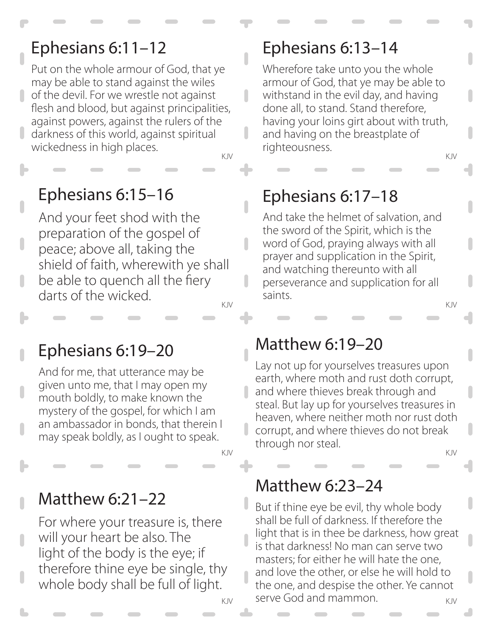## Ephesians 6:11–12

Put on the whole armour of God, that ye may be able to stand against the wiles of the devil. For we wrestle not against flesh and blood, but against principalities, against powers, against the rulers of the darkness of this world, against spiritual wickedness in high places.

## Ephesians 6:15–16

And your feet shod with the preparation of the gospel of peace; above all, taking the shield of faith, wherewith ye shall be able to quench all the fiery darts of the wicked.

## Ephesians 6:19–20

And for me, that utterance may be given unto me, that I may open my mouth boldly, to make known the mystery of the gospel, for which I am an ambassador in bonds, that therein I may speak boldly, as I ought to speak.

#### Matthew 6:21–22

For where your treasure is, there will your heart be also. The light of the body is the eye; if therefore thine eye be single, thy whole body shall be full of light.

### Ephesians 6:13–14

KJV KJV Wherefore take unto you the whole armour of God, that ye may be able to withstand in the evil day, and having done all, to stand. Stand therefore, having your loins girt about with truth, and having on the breastplate of righteousness.

## Ephesians 6:17–18

KJV KJV And take the helmet of salvation, and the sword of the Spirit, which is the word of God, praying always with all prayer and supplication in the Spirit, and watching thereunto with all perseverance and supplication for all saints.

#### Matthew 6:19–20

Lay not up for yourselves treasures upon earth, where moth and rust doth corrupt, and where thieves break through and steal. But lay up for yourselves treasures in heaven, where neither moth nor rust doth corrupt, and where thieves do not break through nor steal.

KJV KJV

### Matthew 6:23–24

<sub>KJV</sub> serve God and mammon. The Mark RJV But if thine eye be evil, thy whole body shall be full of darkness. If therefore the light that is in thee be darkness, how great is that darkness! No man can serve two masters; for either he will hate the one, and love the other, or else he will hold to the one, and despise the other. Ye cannot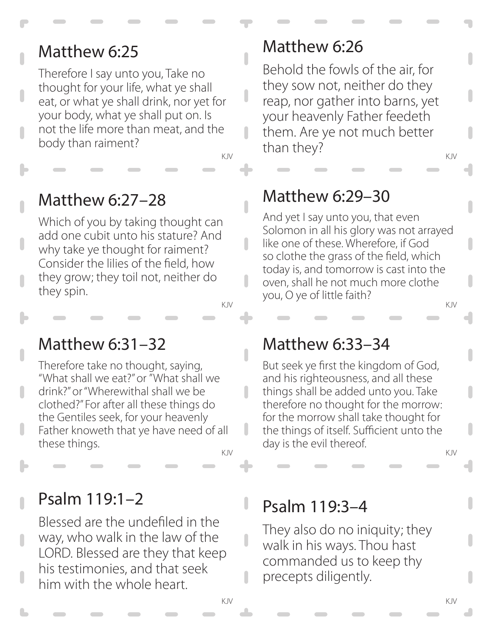## Matthew 6:25

Therefore I say unto you, Take no thought for your life, what ye shall eat, or what ye shall drink, nor yet for your body, what ye shall put on. Is not the life more than meat, and the body than raiment?

#### Matthew 6:27–28

Which of you by taking thought can add one cubit unto his stature? And why take ye thought for raiment? Consider the lilies of the field, how they grow; they toil not, neither do they spin.

 $\overline{\phantom{a}}$ 

ı

ı

ı

### Matthew 6:31–32

Therefore take no thought, saying, "What shall we eat?" or "What shall we drink?" or "Wherewithal shall we be clothed?" For after all these things do the Gentiles seek, for your heavenly Father knoweth that ye have need of all these things.

KJV KJV

### Psalm 119:1–2

Blessed are the undefiled in the way, who walk in the law of the LORD. Blessed are they that keep his testimonies, and that seek him with the whole heart.

### Matthew 6:26

KJV KJV Behold the fowls of the air, for they sow not, neither do they reap, nor gather into barns, yet your heavenly Father feedeth them. Are ye not much better than they?

## Matthew 6:29–30

KJV KJV And yet I say unto you, that even Solomon in all his glory was not arrayed like one of these. Wherefore, if God so clothe the grass of the field, which today is, and tomorrow is cast into the oven, shall he not much more clothe you, O ye of little faith?

#### Matthew 6:33–34

But seek ye first the kingdom of God, and his righteousness, and all these things shall be added unto you. Take therefore no thought for the morrow: for the morrow shall take thought for the things of itself. Sufficient unto the day is the evil thereof.

#### Psalm 119:3–4

They also do no iniquity; they walk in his ways. Thou hast commanded us to keep thy precepts diligently.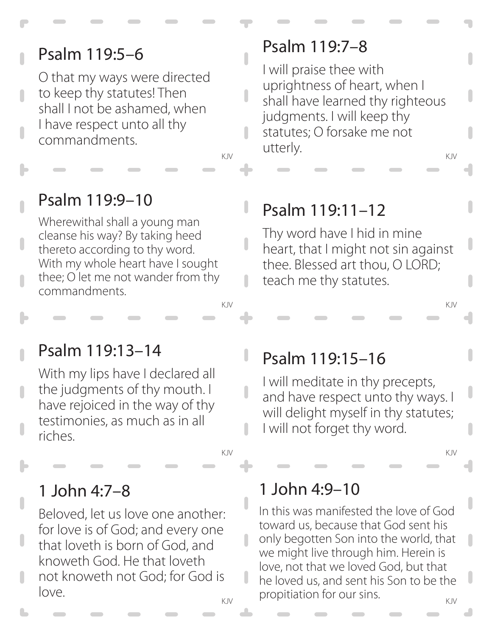## Psalm 119:5–6

O that my ways were directed to keep thy statutes! Then shall I not be ashamed, when I have respect unto all thy commandments.

ı

## Psalm 119:9–10

Wherewithal shall a young man cleanse his way? By taking heed thereto according to thy word. With my whole heart have I sought thee; O let me not wander from thy commandments.

#### Psalm 119:7–8

KJV KJV I will praise thee with uprightness of heart, when I shall have learned thy righteous judgments. I will keep thy statutes; O forsake me not utterly.

## Psalm 119:11–12

Thy word have I hid in mine heart, that I might not sin against thee. Blessed art thou, O LORD; teach me thy statutes.

KJV KJV

### Psalm 119:13–14

With my lips have I declared all the judgments of thy mouth. I have rejoiced in the way of thy testimonies, as much as in all riches.

### Psalm 119:15–16

I will meditate in thy precepts, and have respect unto thy ways. I will delight myself in thy statutes; I will not forget thy word.

KJV KJV

#### 1 John 4:7–8

Beloved, let us love one another: for love is of God; and every one that loveth is born of God, and knoweth God. He that loveth not knoweth not God; for God is love.

#### 1 John 4:9–10

<sub>KJV</sub> propitiation for our sins. In this was manifested the love of God toward us, because that God sent his only begotten Son into the world, that we might live through him. Herein is love, not that we loved God, but that he loved us, and sent his Son to be the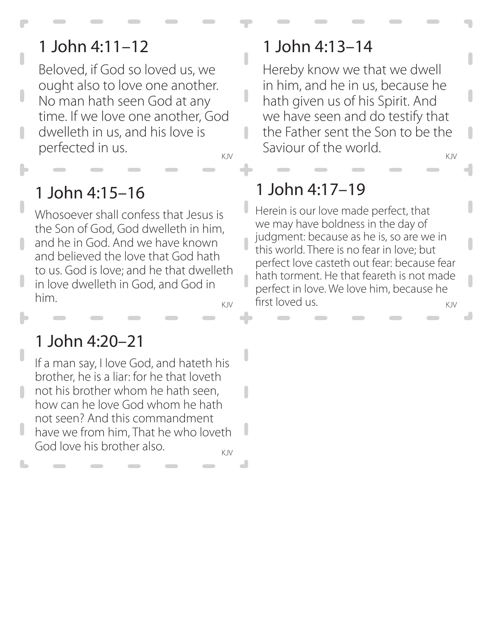## 1 John 4:11–12

П

ı

Beloved, if God so loved us, we ought also to love one another. No man hath seen God at any time. If we love one another, God dwelleth in us, and his love is perfected in us.

n

 $\overline{\phantom{a}}$ 

П

П

 $\overline{\phantom{a}}$ 

#### 1 John 4:15–16

Whosoever shall confess that Jesus is the Son of God, God dwelleth in him, and he in God. And we have known and believed the love that God hath to us. God is love; and he that dwelleth in love dwelleth in God, and God in him.

#### 1 John 4:20–21

 $KIN$ If a man say, I love God, and hateth his brother, he is a liar: for he that loveth not his brother whom he hath seen, how can he love God whom he hath not seen? And this commandment have we from him, That he who loveth God love his brother also.

#### 1 John 4:13–14

KJV KJV Hereby know we that we dwell in him, and he in us, because he hath given us of his Spirit. And we have seen and do testify that the Father sent the Son to be the Saviour of the world.

## 1 John 4:17–19

<sub>KJV</sub> first loved us. Herein is our love made perfect, that we may have boldness in the day of judgment: because as he is, so are we in this world. There is no fear in love; but perfect love casteth out fear: because fear hath torment. He that feareth is not made perfect in love. We love him, because he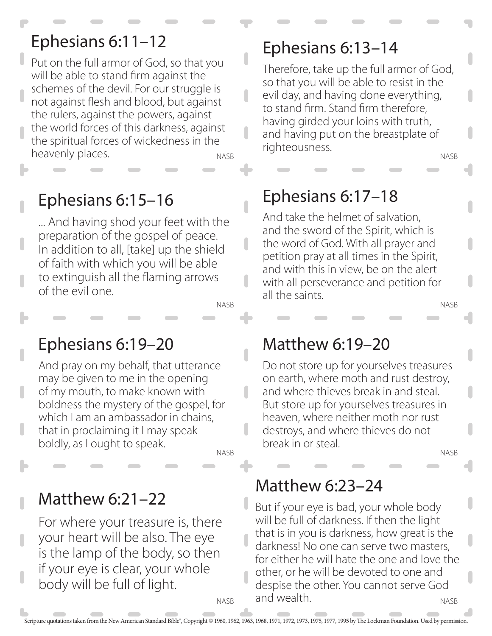## Ephesians 6:11–12

NASB Put on the full armor of God, so that you will be able to stand firm against the schemes of the devil. For our struggle is not against flesh and blood, but against the rulers, against the powers, against the world forces of this darkness, against the spiritual forces of wickedness in the heavenly places.

## Ephesians 6:15–16

... And having shod your feet with the preparation of the gospel of peace. In addition to all, [take] up the shield of faith with which you will be able to extinguish all the flaming arrows of the evil one.

NASB

n

### Ephesians 6:19–20

And pray on my behalf, that utterance may be given to me in the opening of my mouth, to make known with boldness the mystery of the gospel, for which I am an ambassador in chains, that in proclaiming it I may speak boldly, as I ought to speak.

NASB

## Matthew 6:21–22

For where your treasure is, there your heart will be also. The eye is the lamp of the body, so then if your eye is clear, your whole body will be full of light.

## Ephesians 6:13–14

NASB Therefore, take up the full armor of God, so that you will be able to resist in the evil day, and having done everything, to stand firm. Stand firm therefore, having girded your loins with truth, and having put on the breastplate of righteousness.

# Ephesians 6:17–18

And take the helmet of salvation, and the sword of the Spirit, which is the word of God. With all prayer and petition pray at all times in the Spirit, and with this in view, be on the alert with all perseverance and petition for all the saints.

NASB

### Matthew 6:19–20

Do not store up for yourselves treasures on earth, where moth and rust destroy, and where thieves break in and steal. But store up for yourselves treasures in heaven, where neither moth nor rust destroys, and where thieves do not break in or steal.

NASB

## Matthew 6:23–24

NASB But if your eye is bad, your whole body will be full of darkness. If then the light that is in you is darkness, how great is the darkness! No one can serve two masters, for either he will hate the one and love the other, or he will be devoted to one and despise the other. You cannot serve God and wealth.

**NASB**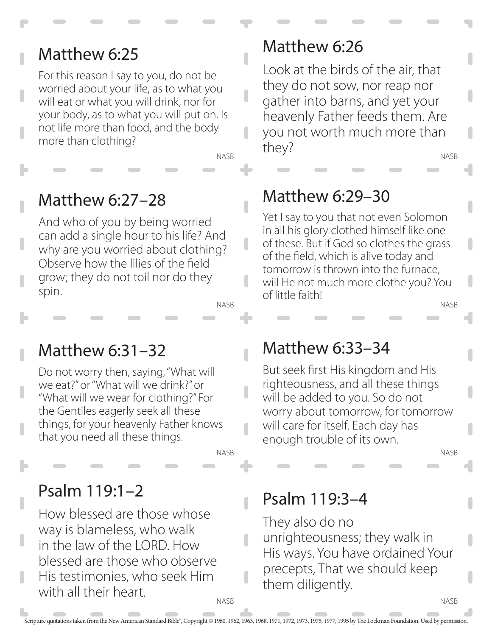#### Matthew 6:25

For this reason I say to you, do not be worried about your life, as to what you will eat or what you will drink, nor for your body, as to what you will put on. Is not life more than food, and the body more than clothing?

NASB

n

 $\overline{\phantom{a}}$ 

 $\overline{\phantom{a}}$ 

 $\overline{\phantom{a}}$ 

#### Matthew 6:27–28

And who of you by being worried can add a single hour to his life? And why are you worried about clothing? Observe how the lilies of the field grow; they do not toil nor do they spin.

NASB

### Matthew 6:31–32

Do not worry then, saying, "What will we eat?" or "What will we drink?" or "What will we wear for clothing?" For the Gentiles eagerly seek all these things, for your heavenly Father knows that you need all these things.

NASB

### Psalm 119:1–2

**NASB** How blessed are those whose way is blameless, who walk in the law of the LORD. How blessed are those who observe His testimonies, who seek Him with all their heart.

#### Matthew 6:26

NASB Look at the birds of the air, that they do not sow, nor reap nor gather into barns, and yet your heavenly Father feeds them. Are you not worth much more than they?

## Matthew 6:29–30

Yet I say to you that not even Solomon in all his glory clothed himself like one of these. But if God so clothes the grass of the field, which is alive today and tomorrow is thrown into the furnace, will He not much more clothe you? You of little faith!

NASB

#### Matthew 6:33–34

But seek first His kingdom and His righteousness, and all these things will be added to you. So do not worry about tomorrow, for tomorrow will care for itself. Each day has enough trouble of its own.

NASB

NASB

#### Psalm 119:3–4

They also do no unrighteousness; they walk in His ways. You have ordained Your precepts, That we should keep them diligently.

Scripture quotations taken from the New American Standard Bible®, Copyright © 1960, 1962, 1963, 1968, 1971, 1972, 1973, 1975, 1977, 1995 by The Lockman Foundation. Used by permission.

n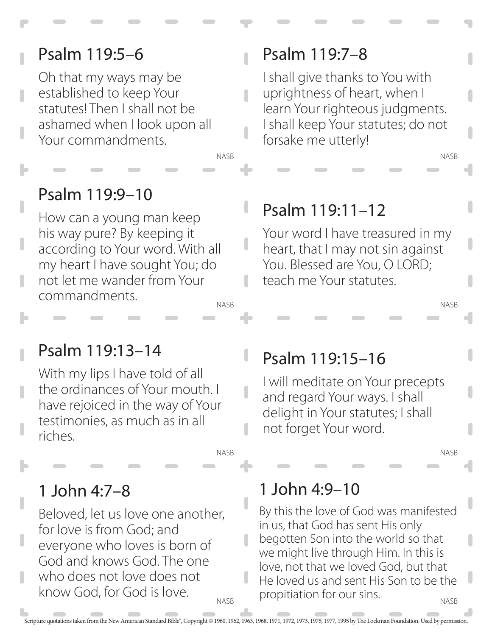## Psalm 119:5–6

Oh that my ways may be established to keep Your statutes! Then I shall not be ashamed when I look upon all Your commandments.

### Psalm 119:9–10

NASB How can a young man keep his way pure? By keeping it according to Your word. With all my heart I have sought You; do not let me wander from Your commandments.

## Psalm 119:7–8

NASB

U

ı

I shall give thanks to You with uprightness of heart, when I learn Your righteous judgments. I shall keep Your statutes; do not forsake me utterly!

## Psalm 119:11–12

Your word I have treasured in my heart, that I may not sin against You. Blessed are You, O LORD; teach me Your statutes.

## Psalm 119:13–14

With my lips I have told of all the ordinances of Your mouth. I have rejoiced in the way of Your testimonies, as much as in all riches.

# Psalm 119:15–16

I will meditate on Your precepts and regard Your ways. I shall delight in Your statutes; I shall not forget Your word.

NASB

NASB

NASB

## 1 John 4:7–8

**NASR** Beloved, let us love one another, for love is from God; and everyone who loves is born of God and knows God. The one who does not love does not know God, for God is love.

## 1 John 4:9–10

NASB By this the love of God was manifested in us, that God has sent His only begotten Son into the world so that we might live through Him. In this is love, not that we loved God, but that He loved us and sent His Son to be the propitiation for our sins.

NASB